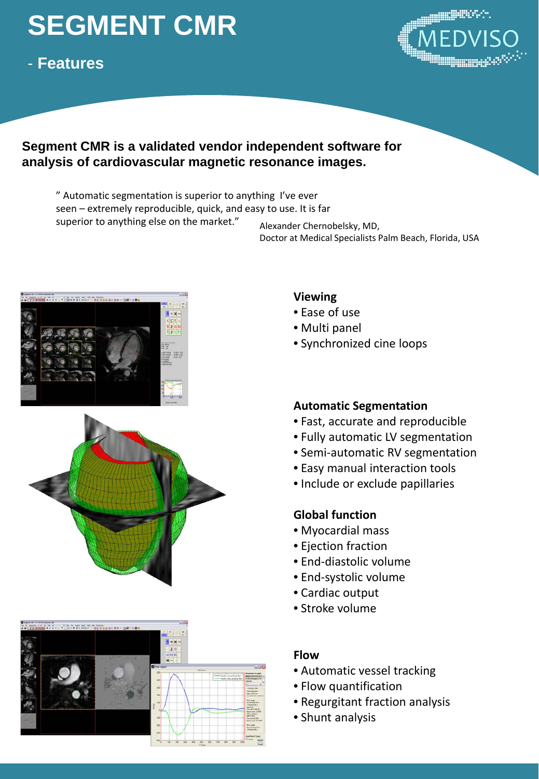## **SEGMENT CMR**

### - **Features**



### **Segment CMR is a validated vendor independent software for analysis of cardiovascular magnetic resonance images.**

" Automatic segmentation is superior to anything I've ever seen – extremely reproducible, quick, and easy to use. It is far superior to anything else on the market." Alexander Chernobelsky, MD,

Doctor at Medical Specialists Palm Beach, Florida, USA







### **Viewing**

- Ease of use
- Multi panel
- Synchronized cine loops

### **Automatic Segmentation**

- Fast, accurate and reproducible
- Fully automatic LV segmentation
- Semi-automatic RV segmentation
- Easy manual interaction tools
- Include or exclude papillaries

### **Global function**

- Myocardial mass
- Ejection fraction
- End-diastolic volume
- End-systolic volume
- Cardiac output
- Stroke volume

### **Flow**

- Automatic vessel tracking
- Flow quantification
- Regurgitant fraction analysis
- Shunt analysis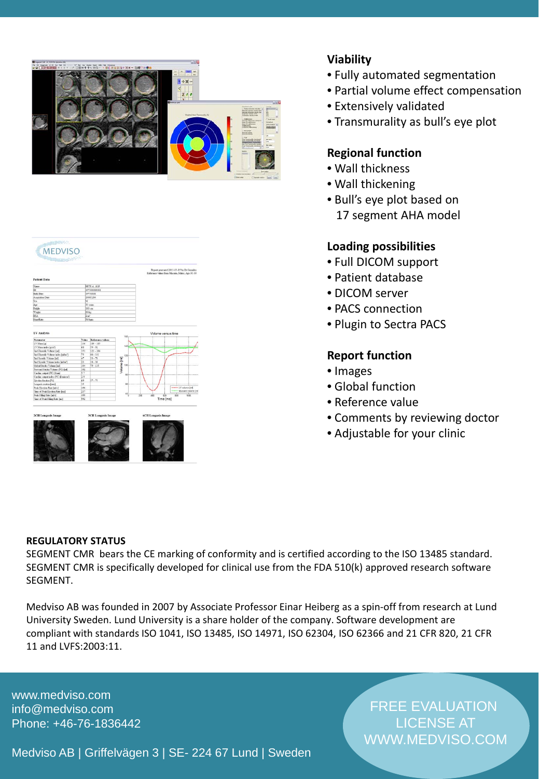

# MEDVISO Report generated 2011-03-15 by Dr Gonzále:<br>decenne values from Manuira Maler. Ana 20-20 ww<br>Time Imsl

### **Viability**

- Fully automated segmentation
- Partial volume effect compensation
- Extensively validated
- Transmurality as bull's eye plot

### **Regional function**

- Wall thickness
- Wall thickening
- Bull's eye plot based on 17 segment AHA model

### **Loading possibilities**

- Full DICOM support
- Patient database
- DICOM server
- PACS connection
- Plugin to Sectra PACS

### **Report function**

- Images
- Global function
- Reference value
- Comments by reviewing doctor
- Adjustable for your clinic

### **REGULATORY STATUS**

SEGMENT CMR bears the CE marking of conformity and is certified according to the ISO 13485 standard. SEGMENT CMR is specifically developed for clinical use from the FDA 510(k) approved research software SEGMENT.

Medviso AB was founded in 2007 by Associate Professor Einar Heiberg as a spin-off from research at Lund University Sweden. Lund University is a share holder of the company. Software development are compliant with standards ISO 1041, ISO 13485, ISO 14971, ISO 62304, ISO 62366 and 21 CFR 820, 21 CFR 11 and LVFS:2003:11.

www.medviso.com info@medviso.com Phone: +46-76-1836442

FREE EVALUATION LICENSE AT WWW.MEDVISO.COM

Medviso AB | Griffelvägen 3 | SE- 224 67 Lund | Sweden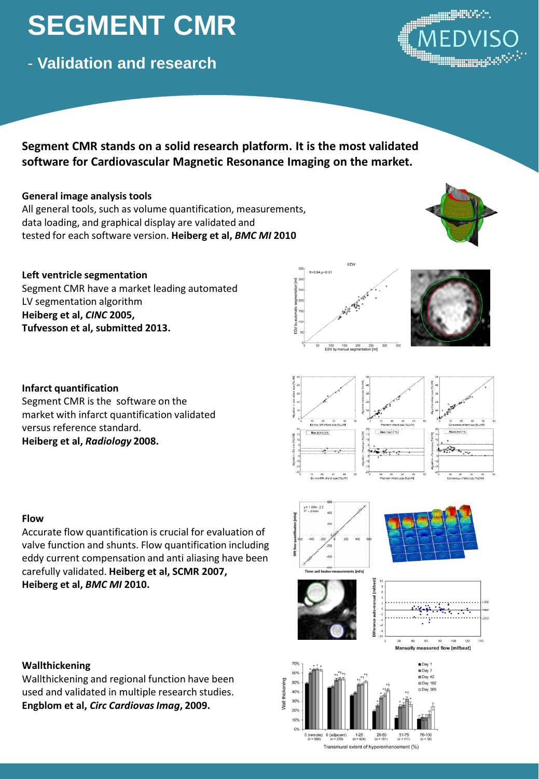### **SEGMENT CMR**

- **Validation and research**

### **Segment CMR stands on a solid research platform. It is the most validated software for Cardiovascular Magnetic Resonance Imaging on the market.**

### **General image analysis tools**

All general tools, such as volume quantification, measurements, data loading, and graphical display are validated and tested for each software version. **Heiberg et al,** *BMC MI* **2010**

### **Left ventricle segmentation**

**Infarct quantification**

versus reference standard. **Heiberg et al,** *Radiology* **2008.**

Segment CMR is the software on the market with infarct quantification validated

Segment CMR have a market leading automated LV segmentation algorithm **Heiberg et al,** *CINC* **2005, Tufvesson et al, submitted 2013.**

EDV

R=0.94 n<0.01



### $n = 0.5135$  $217%$  $3.3 + 2.7 %$ <del>, presenta</del>

### **Flow**

Accurate flow quantification is crucial for evaluation of valve function and shunts. Flow quantification including eddy current compensation and anti aliasing have been carefully validated. **Heiberg et al, SCMR 2007, Heiberg et al,** *BMC MI* **2010.**

### **Wallthickening**

Wallthickening and regional function have been used and validated in multiple research studies. **Engblom et al, Circ Cardiovas Imag, 2009.** 





0 (remote) 0 (adjacent)  $1-25$  26-50<br>
(n = 580) (n = 270) (n = 424) (n = 161)  $51-75$ <br>(n = 111)  $76-100$ <br>(n = 38)

 $0%$ 

Transmural extent of hyperenhancement (%)